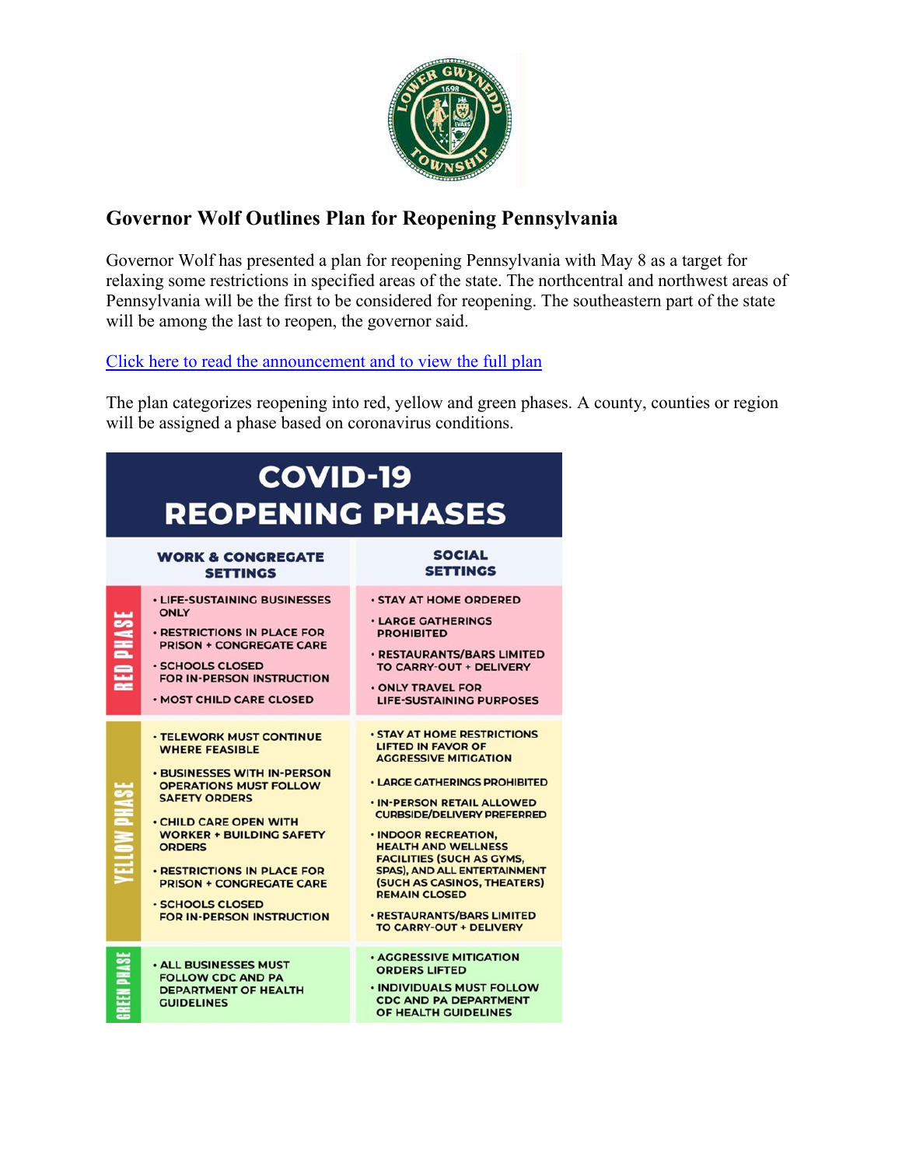

# **Governor Wolf Outlines Plan for Reopening Pennsylvania**

Governor Wolf has presented a plan for reopening Pennsylvania with May 8 as a target for relaxing some restrictions in specified areas of the state. The northcentral and northwest areas of Pennsylvania will be the first to be considered for reopening. The southeastern part of the state will be among the last to reopen, the governor said.

# [Click here to read the announcement and to view the full plan](https://www.governor.pa.gov/newsroom/gov-wolf-reopening-targeted-for-may-8-in-north-central-northwest/)

The plan categorizes reopening into red, yellow and green phases. A county, counties or region will be assigned a phase based on coronavirus conditions.

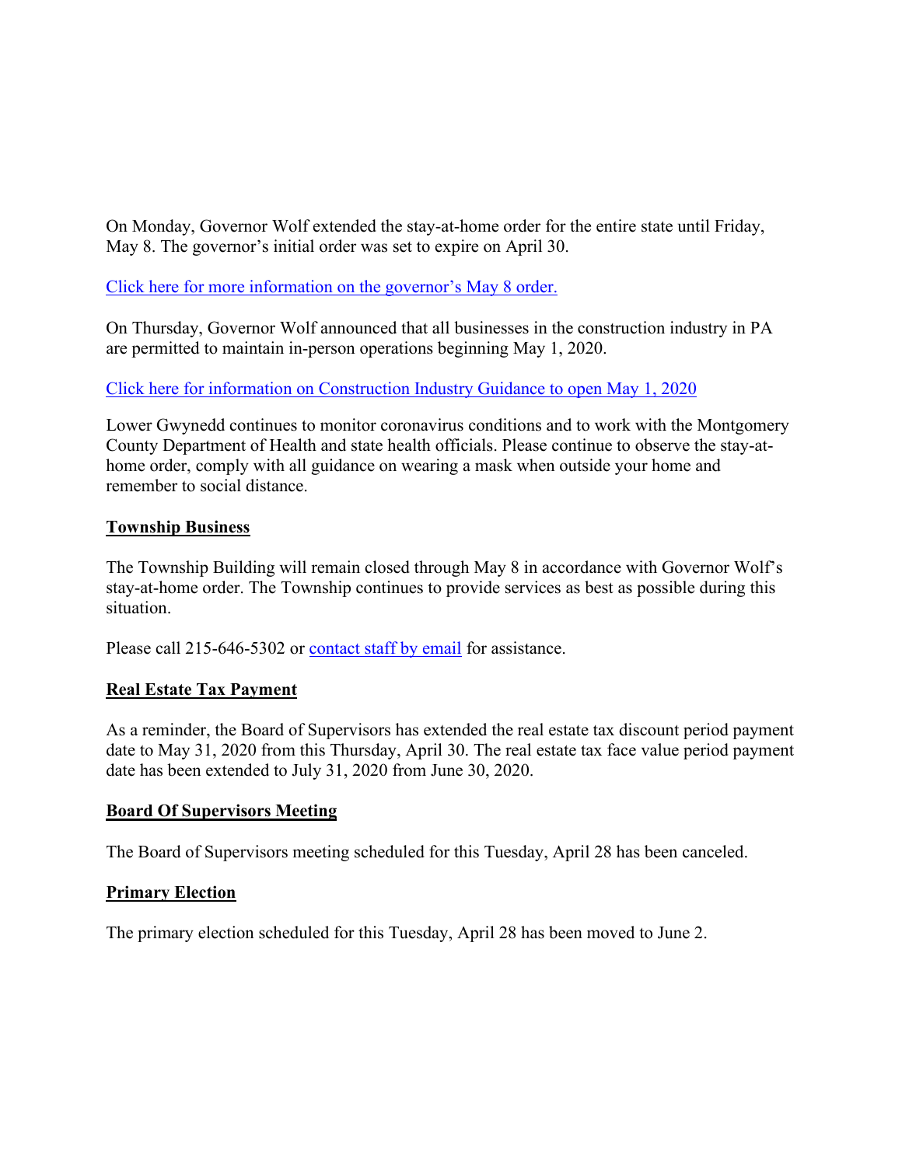On Monday, Governor Wolf extended the stay-at-home order for the entire state until Friday, May 8. The governor's initial order was set to expire on April 30.

[Click here for more information on the governor's May 8 order.](https://www.governor.pa.gov/newsroom/gov-wolf-sec-of-health-extend-statewide-stay-at-home-order-until-may-8/)

On Thursday, Governor Wolf announced that all businesses in the construction industry in PA are permitted to maintain in-person operations beginning May 1, 2020.

[Click here for information on Construction Industry Guidance to open May 1, 2020](https://www.governor.pa.gov/wp-content/uploads/2020/04/20200423-Construction-Industry-Guidance.pdf)

Lower Gwynedd continues to monitor coronavirus conditions and to work with the Montgomery County Department of Health and state health officials. Please continue to observe the stay-athome order, comply with all guidance on wearing a mask when outside your home and remember to social distance.

# **Township Business**

The Township Building will remain closed through May 8 in accordance with Governor Wolf's stay-at-home order. The Township continues to provide services as best as possible during this situation.

Please call 215-646-5302 or [contact staff by email](https://www.lowergwynedd.org/website-resources/contacts-directory.aspx) for assistance.

# **Real Estate Tax Payment**

As a reminder, the Board of Supervisors has extended the real estate tax discount period payment date to May 31, 2020 from this Thursday, April 30. The real estate tax face value period payment date has been extended to July 31, 2020 from June 30, 2020.

#### **Board Of Supervisors Meeting**

The Board of Supervisors meeting scheduled for this Tuesday, April 28 has been canceled.

#### **Primary Election**

The primary election scheduled for this Tuesday, April 28 has been moved to June 2.